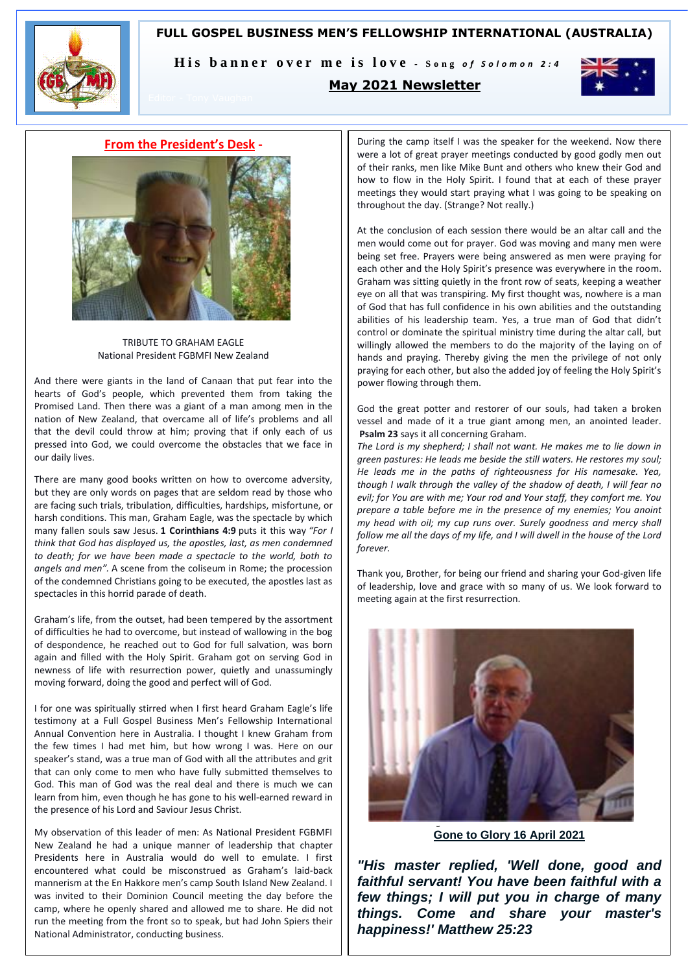# **FULL GOSPEL BUSINESS MEN'S FELLOWSHIP INTERNATIONAL (AUSTRALIA)**



His banner over me is love - Song of Solomon 2:4

# **May 2021 Newsletter**



## **From the President's Desk -**



TRIBUTE TO GRAHAM EAGLE National President FGBMFI New Zealand

And there were giants in the land of Canaan that put fear into the hearts of God's people, which prevented them from taking the Promised Land. Then there was a giant of a man among men in the nation of New Zealand, that overcame all of life's problems and all that the devil could throw at him; proving that if only each of us pressed into God, we could overcome the obstacles that we face in our daily lives.

There are many good books written on how to overcome adversity, but they are only words on pages that are seldom read by those who are facing such trials, tribulation, difficulties, hardships, misfortune, or harsh conditions. This man, Graham Eagle, was the spectacle by which many fallen souls saw Jesus. **1 Corinthians 4:9** puts it this way *"For I think that God has displayed us, the apostles, last, as men condemned to death; for we have been made a spectacle to the world, both to angels and men".* A scene from the coliseum in Rome; the procession of the condemned Christians going to be executed, the apostles last as spectacles in this horrid parade of death.

Graham's life, from the outset, had been tempered by the assortment of difficulties he had to overcome, but instead of wallowing in the bog of despondence, he reached out to God for full salvation, was born again and filled with the Holy Spirit. Graham got on serving God in newness of life with resurrection power, quietly and unassumingly moving forward, doing the good and perfect will of God.

I for one was spiritually stirred when I first heard Graham Eagle's life testimony at a Full Gospel Business Men's Fellowship International Annual Convention here in Australia. I thought I knew Graham from the few times I had met him, but how wrong I was. Here on our speaker's stand, was a true man of God with all the attributes and grit that can only come to men who have fully submitted themselves to God. This man of God was the real deal and there is much we can learn from him, even though he has gone to his well-earned reward in the presence of his Lord and Saviour Jesus Christ.

My observation of this leader of men: As National President FGBMFI New Zealand he had a unique manner of leadership that chapter Presidents here in Australia would do well to emulate. I first encountered what could be misconstrued as Graham's laid-back mannerism at the En Hakkore men's camp South Island New Zealand. I was invited to their Dominion Council meeting the day before the camp, where he openly shared and allowed me to share. He did not run the meeting from the front so to speak, but had John Spiers their National Administrator, conducting business.

During the camp itself I was the speaker for the weekend. Now there were a lot of great prayer meetings conducted by good godly men out of their ranks, men like Mike Bunt and others who knew their God and how to flow in the Holy Spirit. I found that at each of these prayer meetings they would start praying what I was going to be speaking on throughout the day. (Strange? Not really.)

At the conclusion of each session there would be an altar call and the men would come out for prayer. God was moving and many men were being set free. Prayers were being answered as men were praying for each other and the Holy Spirit's presence was everywhere in the room. Graham was sitting quietly in the front row of seats, keeping a weather eye on all that was transpiring. My first thought was, nowhere is a man of God that has full confidence in his own abilities and the outstanding abilities of his leadership team. Yes, a true man of God that didn't control or dominate the spiritual ministry time during the altar call, but willingly allowed the members to do the majority of the laying on of hands and praying. Thereby giving the men the privilege of not only praying for each other, but also the added joy of feeling the Holy Spirit's power flowing through them.

God the great potter and restorer of our souls, had taken a broken vessel and made of it a true giant among men, an anointed leader. **Psalm 23** says it all concerning Graham.

*The Lord is my shepherd; I shall not want. He makes me to lie down in green pastures: He leads me beside the still waters. He restores my soul; He leads me in the paths of righteousness for His namesake. Yea, though I walk through the valley of the shadow of death, I will fear no evil; for You are with me; Your rod and Your staff, they comfort me. You prepare a table before me in the presence of my enemies; You anoint my head with oil; my cup runs over. Surely goodness and mercy shall follow me all the days of my life, and I will dwell in the house of the Lord forever.*

Thank you, Brother, for being our friend and sharing your God-given life of leadership, love and grace with so many of us. We look forward to meeting again at the first resurrection.



**Gone to Glory 16 April 2021**

*"His master replied, 'Well done, good and faithful servant! You have been faithful with a few things; I will put you in charge of many things. Come and share your master's happiness!' Matthew 25:23*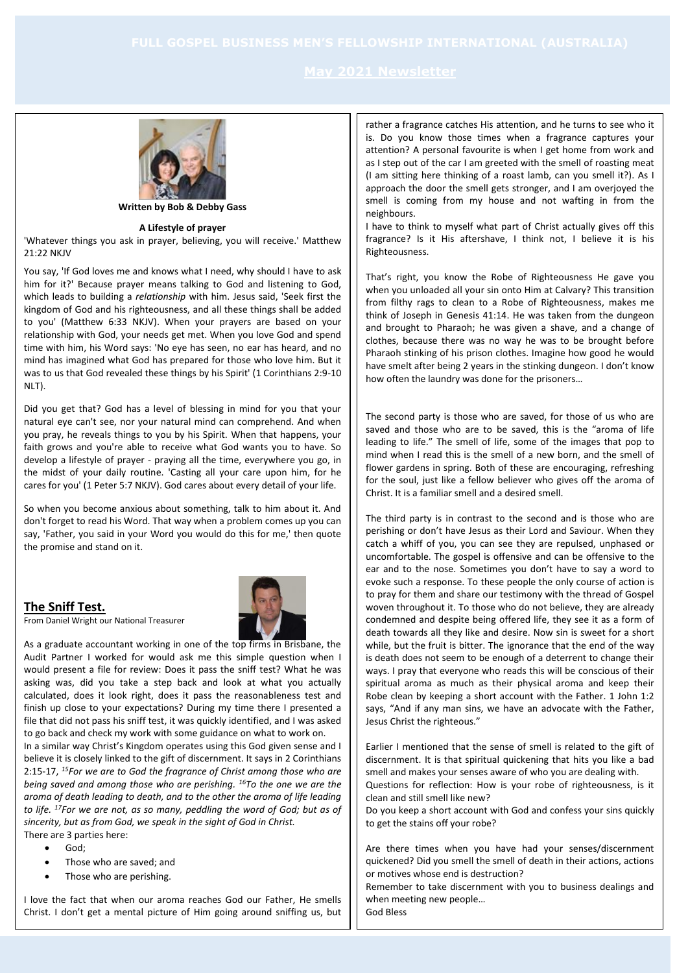

**Written by Bob & Debby Gass**

## **A Lifestyle of prayer**

'Whatever things you ask in prayer, believing, you will receive.' Matthew  $21.22$  NKJV

You say, 'If God loves me and knows what I need, why should I have to ask him for it?' Because prayer means talking to God and listening to God, which leads to building a *relationship* with him. Jesus said, 'Seek first the kingdom of God and his righteousness, and all these things shall be added to you' (Matthew 6:33 NKJV). When your prayers are based on your relationship with God, your needs get met. When you love God and spend time with him, his Word says: 'No eye has seen, no ear has heard, and no mind has imagined what God has prepared for those who love him. But it was to us that God revealed these things by his Spirit' (1 Corinthians 2:9-10 NLT).

Did you get that? God has a level of blessing in mind for you that your natural eye can't see, nor your natural mind can comprehend. And when you pray, he reveals things to you by his Spirit. When that happens, your faith grows and you're able to receive what God wants you to have. So develop a lifestyle of prayer - praying all the time, everywhere you go, in the midst of your daily routine. 'Casting all your care upon him, for he cares for you' (1 Peter 5:7 NKJV). God cares about every detail of your life.

So when you become anxious about something, talk to him about it. And don't forget to read his Word. That way when a problem comes up you can say, 'Father, you said in your Word you would do this for me,' then quote the promise and stand on it.

## **The Sniff Test.**



From Daniel Wright our National Treasurer

As a graduate accountant working in one of the top firms in Brisbane, the Audit Partner I worked for would ask me this simple question when I would present a file for review: Does it pass the sniff test? What he was asking was, did you take a step back and look at what you actually calculated, does it look right, does it pass the reasonableness test and finish up close to your expectations? During my time there I presented a file that did not pass his sniff test, it was quickly identified, and I was asked to go back and check my work with some guidance on what to work on.

In a similar way Christ's Kingdom operates using this God given sense and I believe it is closely linked to the gift of discernment. It says in 2 Corinthians 2:15-17, *<sup>15</sup>For we are to God the fragrance of Christ among those who are being saved and among those who are perishing. <sup>16</sup>To the one we are the aroma of death leading to death, and to the other the aroma of life leading to life. <sup>17</sup>For we are not, as so many, peddling the word of God; but as of sincerity, but as from God, we speak in the sight of God in Christ.*

There are 3 parties here:

- God;
- Those who are saved; and
- Those who are perishing.

I love the fact that when our aroma reaches God our Father, He smells Christ. I don't get a mental picture of Him going around sniffing us, but rather a fragrance catches His attention, and he turns to see who it is. Do you know those times when a fragrance captures your attention? A personal favourite is when I get home from work and as I step out of the car I am greeted with the smell of roasting meat (I am sitting here thinking of a roast lamb, can you smell it?). As I approach the door the smell gets stronger, and I am overjoyed the smell is coming from my house and not wafting in from the neighbours.

I have to think to myself what part of Christ actually gives off this fragrance? Is it His aftershave, I think not, I believe it is his Righteousness.

That's right, you know the Robe of Righteousness He gave you when you unloaded all your sin onto Him at Calvary? This transition from filthy rags to clean to a Robe of Righteousness, makes me think of Joseph in Genesis 41:14. He was taken from the dungeon and brought to Pharaoh; he was given a shave, and a change of clothes, because there was no way he was to be brought before Pharaoh stinking of his prison clothes. Imagine how good he would have smelt after being 2 years in the stinking dungeon. I don't know how often the laundry was done for the prisoners…

The second party is those who are saved, for those of us who are saved and those who are to be saved, this is the "aroma of life leading to life." The smell of life, some of the images that pop to mind when I read this is the smell of a new born, and the smell of flower gardens in spring. Both of these are encouraging, refreshing for the soul, just like a fellow believer who gives off the aroma of Christ. It is a familiar smell and a desired smell.

The third party is in contrast to the second and is those who are perishing or don't have Jesus as their Lord and Saviour. When they catch a whiff of you, you can see they are repulsed, unphased or uncomfortable. The gospel is offensive and can be offensive to the ear and to the nose. Sometimes you don't have to say a word to evoke such a response. To these people the only course of action is to pray for them and share our testimony with the thread of Gospel woven throughout it. To those who do not believe, they are already condemned and despite being offered life, they see it as a form of death towards all they like and desire. Now sin is sweet for a short while, but the fruit is bitter. The ignorance that the end of the way is death does not seem to be enough of a deterrent to change their ways. I pray that everyone who reads this will be conscious of their spiritual aroma as much as their physical aroma and keep their Robe clean by keeping a short account with the Father. 1 John 1:2 says, "And if any man sins, we have an advocate with the Father, Jesus Christ the righteous."

Earlier I mentioned that the sense of smell is related to the gift of discernment. It is that spiritual quickening that hits you like a bad smell and makes your senses aware of who you are dealing with.

Questions for reflection: How is your robe of righteousness, is it clean and still smell like new?

Do you keep a short account with God and confess your sins quickly to get the stains off your robe?

Are there times when you have had your senses/discernment quickened? Did you smell the smell of death in their actions, actions or motives whose end is destruction?

Remember to take discernment with you to business dealings and when meeting new people…

God Bless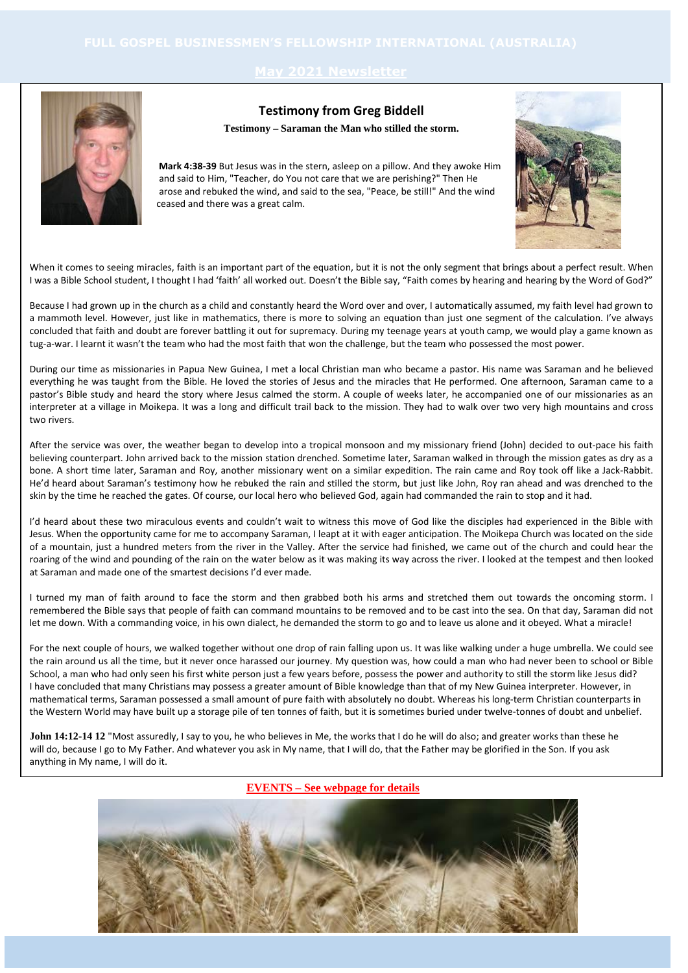

# **Testimony from Greg Biddell**

**Testimony – Saraman the Man who stilled the storm.**

 **Mark 4:38-39** But Jesus was in the stern, asleep on a pillow. And they awoke Him and said to Him, "Teacher, do You not care that we are perishing?" Then He arose and rebuked the wind, and said to the sea, "Peace, be still!" And the wind ceased and there was a great calm.



When it comes to seeing miracles, faith is an important part of the equation, but it is not the only segment that brings about a perfect result. When I was a Bible School student, I thought I had 'faith' all worked out. Doesn't the Bible say, "Faith comes by hearing and hearing by the Word of God?"

Because I had grown up in the church as a child and constantly heard the Word over and over, I automatically assumed, my faith level had grown to a mammoth level. However, just like in mathematics, there is more to solving an equation than just one segment of the calculation. I've always concluded that faith and doubt are forever battling it out for supremacy. During my teenage years at youth camp, we would play a game known as tug-a-war. I learnt it wasn't the team who had the most faith that won the challenge, but the team who possessed the most power.

During our time as missionaries in Papua New Guinea, I met a local Christian man who became a pastor. His name was Saraman and he believed everything he was taught from the Bible. He loved the stories of Jesus and the miracles that He performed. One afternoon, Saraman came to a pastor's Bible study and heard the story where Jesus calmed the storm. A couple of weeks later, he accompanied one of our missionaries as an interpreter at a village in Moikepa. It was a long and difficult trail back to the mission. They had to walk over two very high mountains and cross two rivers.

After the service was over, the weather began to develop into a tropical monsoon and my missionary friend (John) decided to out-pace his faith believing counterpart. John arrived back to the mission station drenched. Sometime later, Saraman walked in through the mission gates as dry as a bone. A short time later, Saraman and Roy, another missionary went on a similar expedition. The rain came and Roy took off like a Jack-Rabbit. He'd heard about Saraman's testimony how he rebuked the rain and stilled the storm, but just like John, Roy ran ahead and was drenched to the skin by the time he reached the gates. Of course, our local hero who believed God, again had commanded the rain to stop and it had.

I'd heard about these two miraculous events and couldn't wait to witness this move of God like the disciples had experienced in the Bible with Jesus. When the opportunity came for me to accompany Saraman, I leapt at it with eager anticipation. The Moikepa Church was located on the side of a mountain, just a hundred meters from the river in the Valley. After the service had finished, we came out of the church and could hear the roaring of the wind and pounding of the rain on the water below as it was making its way across the river. I looked at the tempest and then looked at Saraman and made one of the smartest decisions I'd ever made.

I turned my man of faith around to face the storm and then grabbed both his arms and stretched them out towards the oncoming storm. I remembered the Bible says that people of faith can command mountains to be removed and to be cast into the sea. On that day, Saraman did not let me down. With a commanding voice, in his own dialect, he demanded the storm to go and to leave us alone and it obeyed. What a miracle!

For the next couple of hours, we walked together without one drop of rain falling upon us. It was like walking under a huge umbrella. We could see the rain around us all the time, but it never once harassed our journey. My question was, how could a man who had never been to school or Bible School, a man who had only seen his first white person just a few years before, possess the power and authority to still the storm like Jesus did? I have concluded that many Christians may possess a greater amount of Bible knowledge than that of my New Guinea interpreter. However, in mathematical terms, Saraman possessed a small amount of pure faith with absolutely no doubt. Whereas his long-term Christian counterparts in the Western World may have built up a storage pile of ten tonnes of faith, but it is sometimes buried under twelve-tonnes of doubt and unbelief.

John 14:12-14 12 "Most assuredly, I say to you, he who believes in Me, the works that I do he will do also; and greater works than these he will do, because I go to My Father. And whatever you ask in My name, that I will do, that the Father may be glorified in the Son. If you ask anything in My name, I will do it.